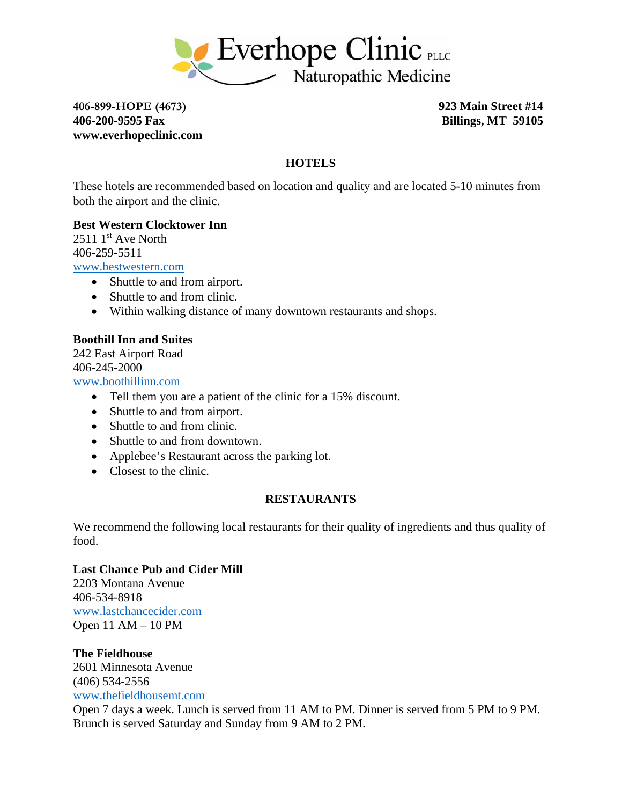

**406-899-HOPE (4673) 923 Main Street #14 406-200-9595 Fax Billings, MT 59105 www.everhopeclinic.com** 

# **HOTELS**

These hotels are recommended based on location and quality and are located 5-10 minutes from both the airport and the clinic.

#### **Best Western Clocktower Inn**

 $25111<sup>st</sup>$  Ave North 406-259-5511

www.bestwestern.com

- Shuttle to and from airport.
- Shuttle to and from clinic.
- Within walking distance of many downtown restaurants and shops.

# **Boothill Inn and Suites**

242 East Airport Road 406-245-2000

www.boothillinn.com

- Tell them you are a patient of the clinic for a 15% discount.
- Shuttle to and from airport.
- Shuttle to and from clinic.
- Shuttle to and from downtown.
- Applebee's Restaurant across the parking lot.
- Closest to the clinic.

#### **RESTAURANTS**

We recommend the following local restaurants for their quality of ingredients and thus quality of food.

# **Last Chance Pub and Cider Mill**

2203 Montana Avenue 406-534-8918 www.lastchancecider.com Open 11 AM – 10 PM

**The Fieldhouse**  2601 Minnesota Avenue (406) 534-2556 www.thefieldhousemt.com

Open 7 days a week. Lunch is served from 11 AM to PM. Dinner is served from 5 PM to 9 PM. Brunch is served Saturday and Sunday from 9 AM to 2 PM.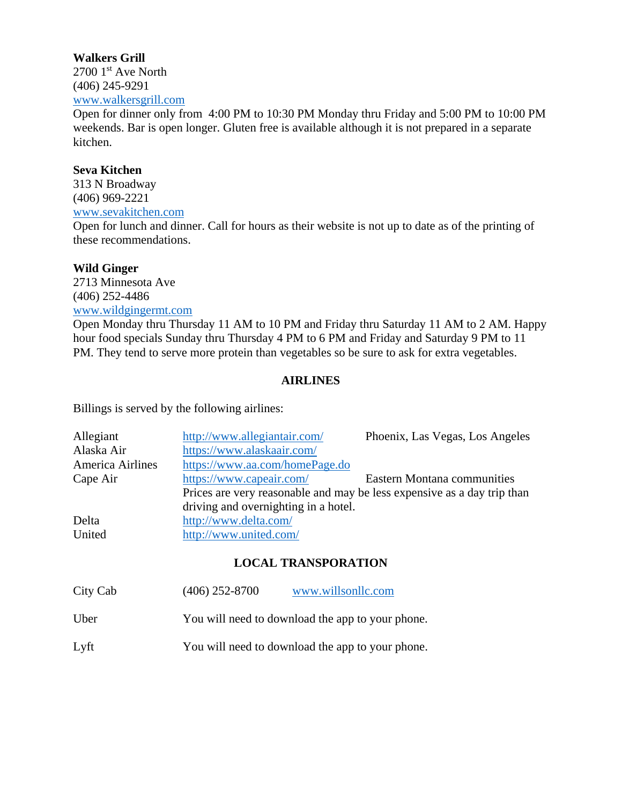# **Walkers Grill**   $2700$  1<sup>st</sup> Ave North (406) 245-9291 www.walkersgrill.com

Open for dinner only from 4:00 PM to 10:30 PM Monday thru Friday and 5:00 PM to 10:00 PM weekends. Bar is open longer. Gluten free is available although it is not prepared in a separate kitchen.

# **Seva Kitchen**

313 N Broadway (406) 969-2221 www.sevakitchen.com

Open for lunch and dinner. Call for hours as their website is not up to date as of the printing of these recommendations.

#### **Wild Ginger**

2713 Minnesota Ave (406) 252-4486 www.wildgingermt.com

Open Monday thru Thursday 11 AM to 10 PM and Friday thru Saturday 11 AM to 2 AM. Happy hour food specials Sunday thru Thursday 4 PM to 6 PM and Friday and Saturday 9 PM to 11 PM. They tend to serve more protein than vegetables so be sure to ask for extra vegetables.

# **AIRLINES**

Billings is served by the following airlines:

| Allegiant        | http://www.allegiantair.com/                                            | Phoenix, Las Vegas, Los Angeles    |
|------------------|-------------------------------------------------------------------------|------------------------------------|
| Alaska Air       | https://www.alaskaair.com/                                              |                                    |
| America Airlines | https://www.aa.com/homePage.do                                          |                                    |
| Cape Air         | https://www.capeair.com/                                                | <b>Eastern Montana communities</b> |
|                  | Prices are very reasonable and may be less expensive as a day trip than |                                    |
|                  | driving and overnighting in a hotel.                                    |                                    |
| Delta            | http://www.delta.com/                                                   |                                    |
| United           | http://www.united.com/                                                  |                                    |

#### **LOCAL TRANSPORATION**

| City Cab | $(406)$ 252-8700                                 | www.willsonllc.com                               |
|----------|--------------------------------------------------|--------------------------------------------------|
| Uber     | You will need to download the app to your phone. |                                                  |
| Lyft     |                                                  | You will need to download the app to your phone. |